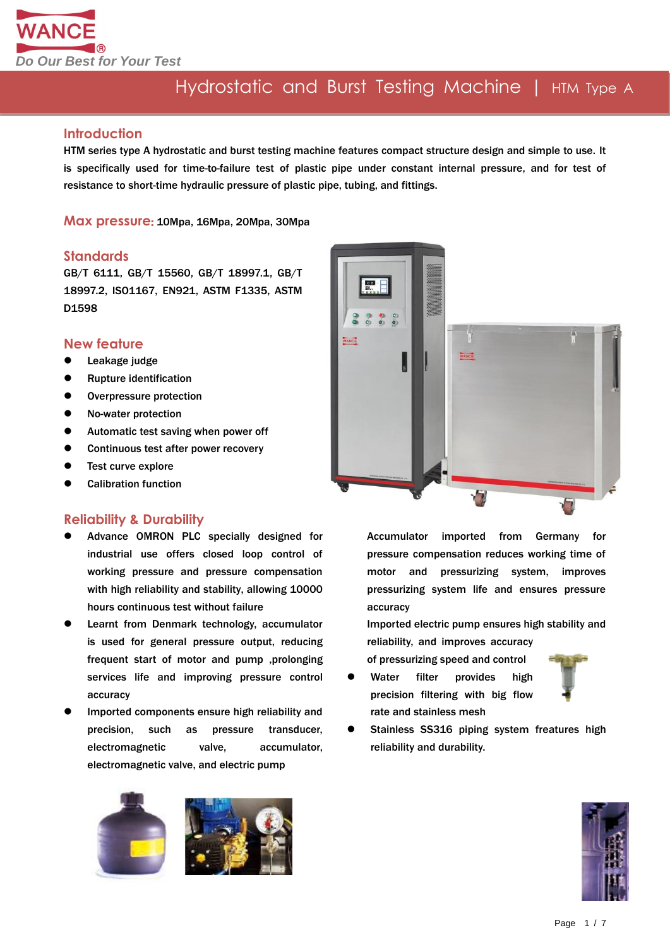

### **Introduction**

HTM series type A hydrostatic and burst testing machine features compact structure design and simple to use. It is specifically used for time-to-failure test of plastic pipe under constant internal pressure, and for test of resistance to short-time hydraulic pressure of plastic pipe, tubing, and fittings.

**Max pressure**: 10Mpa, 16Mpa, 20Mpa, 30Mpa

#### **Standards**

GB/T 6111, GB/T 15560, GB/T 18997.1, GB/T 18997.2, ISO1167, EN921, ASTM F1335, ASTM D1598

### **New feature**

- Leakage judge
- Rupture identification
- Overpressure protection
- No-water protection
- Automatic test saving when power off
- Continuous test after power recovery
- Test curve explore
- Calibration function

### **Reliability & Durability**

- Advance OMRON PLC specially designed for industrial use offers closed loop control of working pressure and pressure compensation with high reliability and stability, allowing 10000 hours continuous test without failure
- **•** Learnt from Denmark technology, accumulator is used for general pressure output, reducing frequent start of motor and pump ,prolonging services life and improving pressure control accuracy
- Imported components ensure high reliability and precision, such as pressure transducer, electromagnetic valve, accumulator, electromagnetic valve, and electric pump





Accumulator imported from Germany for pressure compensation reduces working time of motor and pressurizing system, improves pressurizing system life and ensures pressure accuracy

Imported electric pump ensures high stability and reliability, and improves accuracy

of pressurizing speed and control

 Water filter provides high precision filtering with big flow rate and stainless mesh



 Stainless SS316 piping system freatures high reliability and durability.

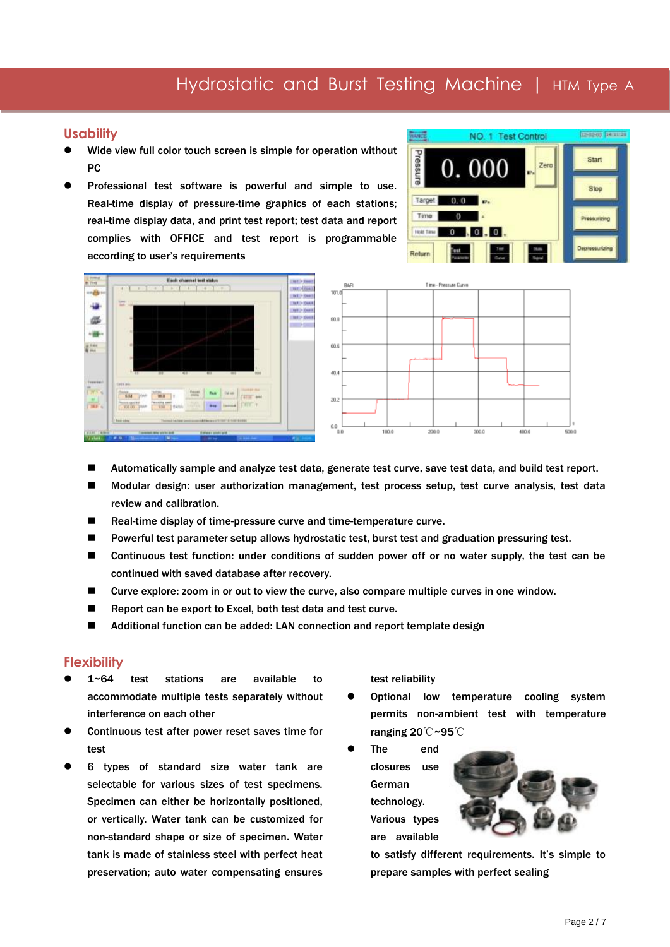### **Usability**

- Wide view full color touch screen is simple for operation without PC
- Professional test software is powerful and simple to use. Real-time display of pressure-time graphics of each stations; real-time display data, and print test report; test data and report complies with OFFICE and test report is programmable according to user's requirements







- Automatically sample and analyze test data, generate test curve, save test data, and build test report.
- Modular design: user authorization management, test process setup, test curve analysis, test data review and calibration.
- Real-time display of time-pressure curve and time-temperature curve.
- **Powerful test parameter setup allows hydrostatic test, burst test and graduation pressuring test.**
- Continuous test function: under conditions of sudden power off or no water supply, the test can be continued with saved database after recovery.
- Curve explore: zoom in or out to view the curve, also compare multiple curves in one window.
- Report can be export to Excel, both test data and test curve.
- Additional function can be added: LAN connection and report template design

#### **Flexibility**

- 1~64 test stations are available to accommodate multiple tests separately without interference on each other
- Continuous test after power reset saves time for test
- 6 types of standard size water tank are selectable for various sizes of test specimens. Specimen can either be horizontally positioned, or vertically. Water tank can be customized for non-standard shape or size of specimen. Water tank is made of stainless steel with perfect heat preservation; auto water compensating ensures

test reliability

- Optional low temperature cooling system permits non-ambient test with temperature ranging 20℃~95℃
- The end closures use German technology. Various types are available



to satisfy different requirements. It's simple to prepare samples with perfect sealing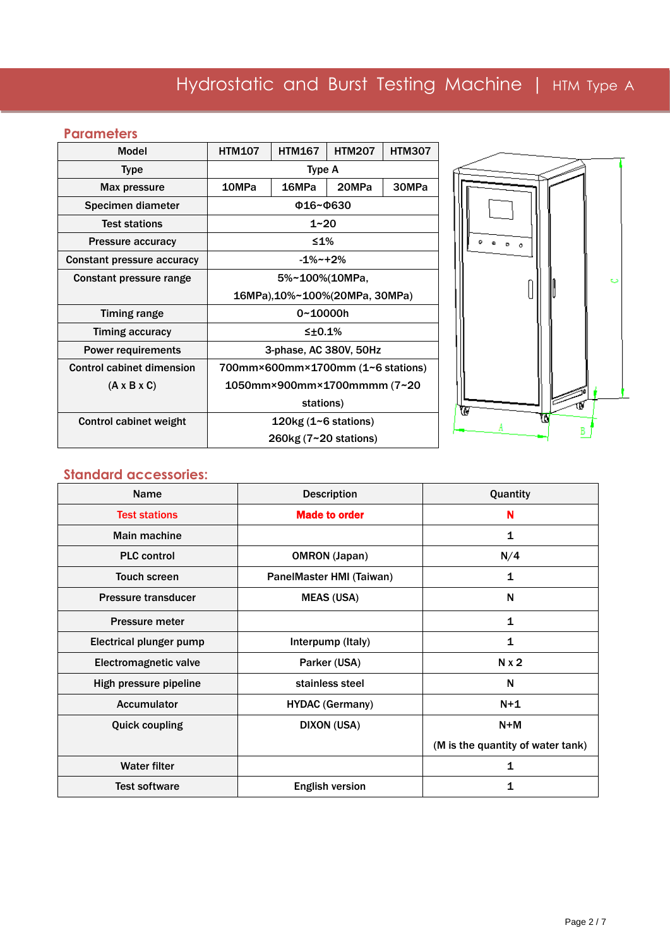## **Parameters**

| <b>Model</b>                      | <b>HTM107</b>                     | <b>HTM167</b>            | <b>HTM207</b> | <b>HTM307</b> |  |
|-----------------------------------|-----------------------------------|--------------------------|---------------|---------------|--|
| <b>Type</b>                       | Type A                            |                          |               |               |  |
| Max pressure                      | 10MPa<br>16MPa<br>20MPa<br>30MPa  |                          |               |               |  |
| Specimen diameter                 | Φ16~Φ630                          |                          |               |               |  |
| <b>Test stations</b>              |                                   | $1 - 20$                 |               |               |  |
| <b>Pressure accuracy</b>          |                                   | ≤1%                      |               |               |  |
| <b>Constant pressure accuracy</b> | $-1\%$ ~+2%                       |                          |               |               |  |
| Constant pressure range           | 5%~100%(10MPa,                    |                          |               |               |  |
|                                   | 16MPa), 10%~100%(20MPa, 30MPa)    |                          |               |               |  |
| <b>Timing range</b>               | 0~10000h                          |                          |               |               |  |
| Timing accuracy                   | $\leq \pm 0.1\%$                  |                          |               |               |  |
| <b>Power requirements</b>         | 3-phase, AC 380V, 50Hz            |                          |               |               |  |
| <b>Control cabinet dimension</b>  | 700mm×600mm×1700mm (1~6 stations) |                          |               |               |  |
| $(A \times B \times C)$           | 1050mm×900mm×1700mmmm (7~20       |                          |               |               |  |
|                                   | stations)                         |                          |               |               |  |
| <b>Control cabinet weight</b>     |                                   | 120 $kg(1 - 6$ stations) |               |               |  |
|                                   | $260$ kg (7~20 stations)          |                          |               |               |  |



### **Standard accessories:**

| <b>Name</b>                    | <b>Description</b>       | Quantity                          |
|--------------------------------|--------------------------|-----------------------------------|
| <b>Test stations</b>           | <b>Made to order</b>     | N                                 |
| Main machine                   |                          | 1                                 |
| <b>PLC</b> control             | <b>OMRON</b> (Japan)     | N/4                               |
| <b>Touch screen</b>            | PanelMaster HMI (Taiwan) | 1                                 |
| <b>Pressure transducer</b>     | <b>MEAS (USA)</b>        | N                                 |
| <b>Pressure meter</b>          |                          | 1                                 |
| <b>Electrical plunger pump</b> | Interpump (Italy)        | 1                                 |
| Electromagnetic valve          | Parker (USA)             | $N \times 2$                      |
| High pressure pipeline         | stainless steel          | N                                 |
| Accumulator                    | <b>HYDAC (Germany)</b>   | $N+1$                             |
| <b>Quick coupling</b>          | <b>DIXON (USA)</b>       | $N+M$                             |
|                                |                          | (M is the quantity of water tank) |
| <b>Water filter</b>            |                          | 1                                 |
| <b>Test software</b>           | <b>English version</b>   | 1                                 |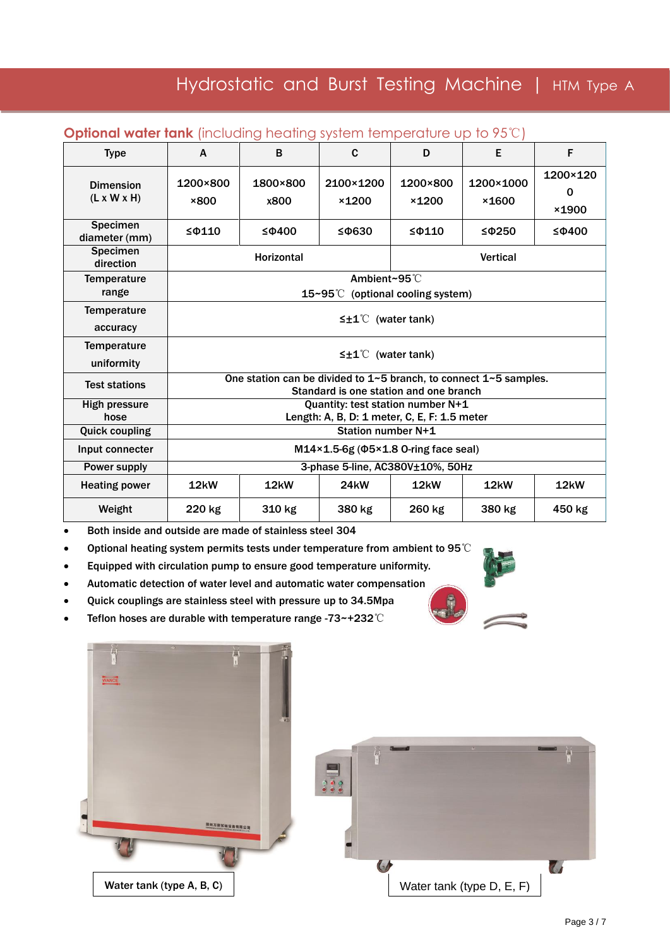| <b>Type</b>                                 | A                                                                                                                       | B                 | C                  | D                 | Е                  | F                      |  |
|---------------------------------------------|-------------------------------------------------------------------------------------------------------------------------|-------------------|--------------------|-------------------|--------------------|------------------------|--|
| <b>Dimension</b><br>$(L \times W \times H)$ | 1200×800<br>×800                                                                                                        | 1800×800<br>x800  | 2100×1200<br>×1200 | 1200×800<br>×1200 | 1200×1000<br>×1600 | 1200×120<br>0<br>×1900 |  |
| <b>Specimen</b><br>diameter (mm)            | $\leq$ $\Phi$ 110                                                                                                       | $\leq$ $\Phi$ 400 | $\leq$ $\Phi$ 630  | $\leq$ $\Phi$ 110 | $\leq$ $\Phi$ 250  | $\leq$ $\Phi$ 400      |  |
| <b>Specimen</b><br>direction                | <b>Horizontal</b><br><b>Vertical</b>                                                                                    |                   |                    |                   |                    |                        |  |
| <b>Temperature</b><br>range                 | Ambient~95°C<br>15~95℃<br>(optional cooling system)                                                                     |                   |                    |                   |                    |                        |  |
| <b>Temperature</b><br>accuracy              | $\leq \pm 1^{\circ}$ (water tank)                                                                                       |                   |                    |                   |                    |                        |  |
| <b>Temperature</b><br>uniformity            | $\leq \pm 1^{\circ}$ (water tank)                                                                                       |                   |                    |                   |                    |                        |  |
| <b>Test stations</b>                        | One station can be divided to $1\neg 5$ branch, to connect $1\neg 5$ samples.<br>Standard is one station and one branch |                   |                    |                   |                    |                        |  |
| <b>High pressure</b><br>hose                | Quantity: test station number N+1<br>Length: A, B, D: 1 meter, C, E, F: 1.5 meter                                       |                   |                    |                   |                    |                        |  |
| <b>Quick coupling</b>                       | Station number N+1                                                                                                      |                   |                    |                   |                    |                        |  |
| Input connecter                             | $M14\times1.5-6g$ ( $\Phi5\times1.8$ O-ring face seal)                                                                  |                   |                    |                   |                    |                        |  |
| Power supply                                | 3-phase 5-line, AC380V±10%, 50Hz                                                                                        |                   |                    |                   |                    |                        |  |
| <b>Heating power</b>                        | 12 <sub>k</sub> W                                                                                                       | 12kW              | <b>24kW</b>        | 12 <sub>k</sub> W | $12$ kW            | 12kW                   |  |
| Weight                                      | 220 kg                                                                                                                  | 310 kg            | 380 kg             | 260 kg            | 380 kg             | 450 kg                 |  |

### **Optional water tank** (including heating system temperature up to 95℃)

Both inside and outside are made of stainless steel 304

Optional heating system permits tests under temperature from ambient to 95℃

- Equipped with circulation pump to ensure good temperature uniformity.
- Automatic detection of water level and automatic water compensation
- Quick couplings are stainless steel with pressure up to 34.5Mpa
- Teflon hoses are durable with temperature range -73~+232℃





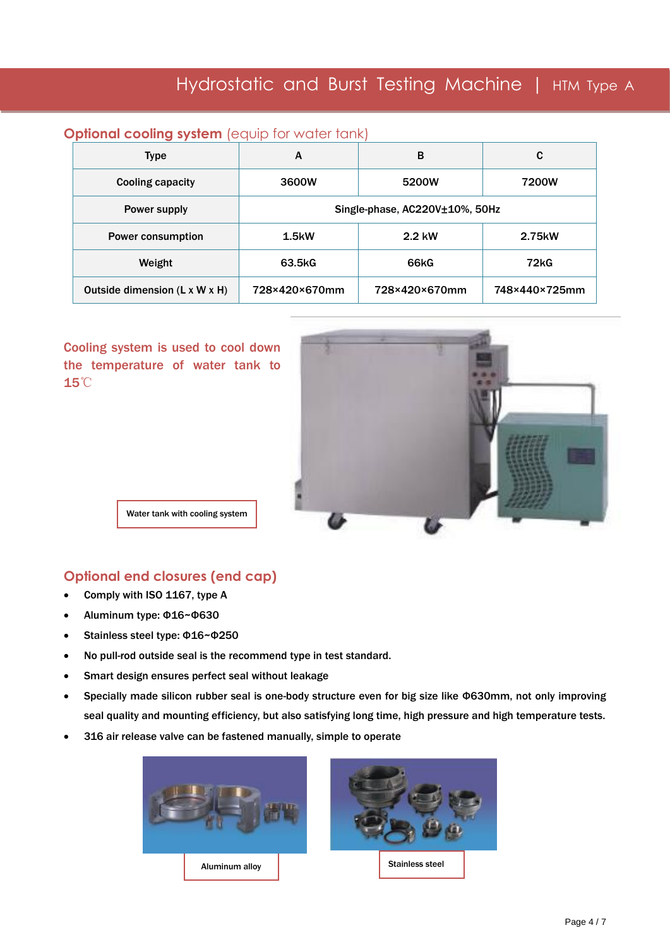## **Optional cooling system** (equip for water tank)

| Type                                      | А                              | в             | C             |  |  |
|-------------------------------------------|--------------------------------|---------------|---------------|--|--|
| <b>Cooling capacity</b>                   | 3600W                          | 5200W         | 7200W         |  |  |
| Power supply                              | Single-phase, AC220V±10%, 50Hz |               |               |  |  |
| Power consumption                         | 1.5 <sub>k</sub>               | 2.2 kW        | 2.75kW        |  |  |
| Weight                                    | 63.5kG                         | 66kG          | 72kG          |  |  |
| Outside dimension $(L \times W \times H)$ | 728×420×670mm                  | 728×420×670mm | 748×440×725mm |  |  |

Cooling system is used to cool down the temperature of water tank to 15℃



Water tank with cooling system

### **Optional end closures (end cap)**

- Comply with ISO 1167, type A
- Aluminum type: Φ16~Φ630
- Stainless steel type: Φ16~Φ250
- No pull-rod outside seal is the recommend type in test standard.
- Smart design ensures perfect seal without leakage
- Specially made silicon rubber seal is one-body structure even for big size like Φ630mm, not only improving seal quality and mounting efficiency, but also satisfying long time, high pressure and high temperature tests.
- 316 air release valve can be fastened manually, simple to operate

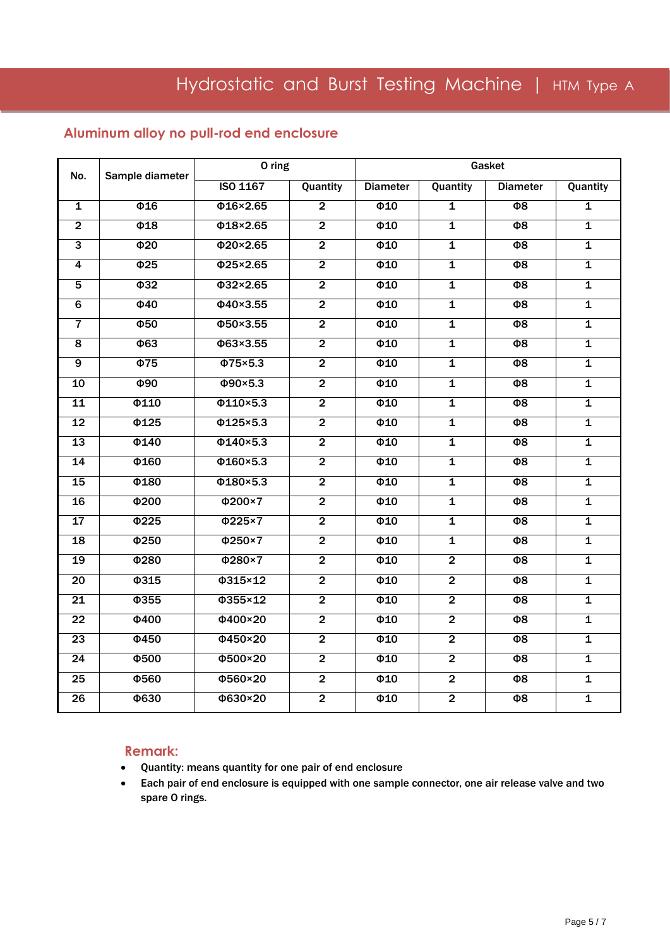### **Aluminum alloy no pull-rod end enclosure**

| No.                     | Sample diameter       | O ring                           |                |                      | Gasket                  |                     |                         |
|-------------------------|-----------------------|----------------------------------|----------------|----------------------|-------------------------|---------------------|-------------------------|
|                         |                       | <b>ISO 1167</b>                  | Quantity       | <b>Diameter</b>      | Quantity                | <b>Diameter</b>     | Quantity                |
| $\overline{\mathbf{1}}$ | $\overline{016}$      | $\overline{0.16 \times 2.65}$    | $\overline{2}$ | $\overline{\Phi 10}$ | $\overline{\mathbf{1}}$ | $\overline{\Phi}$   | $\overline{\mathbf{1}}$ |
| $\overline{2}$          | $\overline{48}$       | $\overline{0.18 \times 2.65}$    | $\overline{2}$ | $\overline{010}$     | $\overline{\mathbf{1}}$ | $\overline{\Phi}$   | $\overline{\mathbf{1}}$ |
| $\overline{3}$          | $\overline{420}$      | $\overline{\Phi$ 20×2.65         | $\overline{2}$ | $\overline{0}$       | $\overline{\mathbf{1}}$ | $\overline{\Phi}$   | $\overline{\mathbf{1}}$ |
| $\overline{4}$          | $\overline{\Phi 25}$  | $\overline{\Phi25\times2.65}$    | $\overline{2}$ | $\overline{\Phi}10$  | $\overline{\mathbf{1}}$ | $\overline{\Phi}$   | $\overline{\mathbf{1}}$ |
| $\overline{5}$          | $\overline{432}$      | $\overline{0.32 \times 2.65}$    | $\overline{2}$ | $\overline{\Phi 10}$ | $\overline{\mathbf{1}}$ | $\overline{\Phi}$   | $\overline{\mathbf{1}}$ |
| $\overline{6}$          | $\overline{\Phi}$ 40  | $\overline{\Phi40 \times 3.55}$  | $\overline{2}$ | $\overline{\Phi}$ 10 | $\overline{\mathbf{1}}$ | $\overline{\Phi}$   | $\overline{\mathbf{1}}$ |
| $\overline{7}$          | $\overline{\Phi 50}$  | $\overline{\Phi$ 50×3.55         | $\overline{2}$ | $\overline{\Phi 10}$ | $\overline{\mathbf{1}}$ | $\overline{\Phi 8}$ | $\overline{\mathbf{1}}$ |
| $\overline{\mathbf{8}}$ | $\overline{463}$      | $\overline{\Phi63 \times 3.55}$  | $\overline{2}$ | $\overline{\Phi 10}$ | $\overline{\mathbf{1}}$ | $\overline{\Phi}$   | $\overline{\mathbf{1}}$ |
| $\overline{9}$          | $\overline{\Phi}$ 75  | $\overline{\Phi$ 75×5.3          | $\overline{2}$ | $\overline{\Phi}$ 10 | $\overline{\mathbf{1}}$ | $\overline{\Phi}$   | $\overline{\mathbf{1}}$ |
| 10                      | $\overline{\Phi}$ 90  | $\overline{\Phi$ 90×5.3          | $\overline{2}$ | $\overline{0}$       | $\overline{\mathbf{1}}$ | $\overline{\Phi}$   | $\overline{\mathbf{1}}$ |
| 11                      | $\overline{0110}$     | $\overline{\Phi$ 110×5.3         | $\overline{2}$ | $\overline{\Phi 10}$ | $\overline{\mathbf{1}}$ | $\overline{\Theta}$ | $\overline{\mathbf{1}}$ |
| 12                      | $\overline{\Phi$ 125  | $\overline{\Phi$ 125×5.3         | $\overline{2}$ | $\overline{\Phi 10}$ | $\overline{\mathbf{1}}$ | $\overline{\Phi 8}$ | $\overline{\mathbf{1}}$ |
| 13                      | $\overline{\Phi$ 140  | $\overline{\Phi$ 140×5.3         | $\overline{2}$ | $\overline{0}$       | $\overline{\mathbf{1}}$ | $\overline{\Phi 8}$ | $\overline{\mathbf{1}}$ |
| 14                      | $\overline{0.160}$    | $\overline{\Phi 160 \times 5.3}$ | $\overline{2}$ | $\overline{\Phi 10}$ | $\overline{\mathbf{1}}$ | $\overline{\Theta}$ | $\overline{\mathbf{1}}$ |
| 15                      | $\overline{0.180}$    | $\overline{\Phi180\times5.3}$    | $\overline{2}$ | $\overline{\Phi 10}$ | $\overline{\mathbf{1}}$ | $\overline{\Phi}$   | $\overline{\mathbf{1}}$ |
| 16                      | $\overline{4200}$     | $\overline{\phi 200 \times 7}$   | $\overline{2}$ | $\overline{0}$       | $\overline{\mathbf{1}}$ | $\overline{\Phi}$   | $\overline{\mathbf{1}}$ |
| $\overline{17}$         | $\overline{\Phi$ 225  | $\Phi$ 225×7                     | $\overline{2}$ | $\overline{\Phi 10}$ | 1                       | $\overline{\Theta}$ | $\mathbf 1$             |
| $\overline{18}$         | $\overline{\Phi$ 250  | $\overline{\Phi$ 250×7           | $\overline{2}$ | $\overline{\Phi 10}$ | $\overline{\mathbf{1}}$ | $\overline{\Phi}$   | $\overline{\mathbf{1}}$ |
| 19                      | $\overline{4280}$     | $\overline{\Phi280\times7}$      | $\overline{2}$ | $\overline{0}10$     | $\overline{2}$          | $\overline{\Phi 8}$ | $\overline{\mathbf{1}}$ |
| $\overline{20}$         | $\overline{\Phi 315}$ | $\overline{\phi$ 315×12          | $\overline{2}$ | $\overline{\Phi 10}$ | $\overline{2}$          | $\overline{\Theta}$ | $\overline{\mathbf{1}}$ |
| $\overline{21}$         | $\overline{\phi$ 355  | $\overline{\phi$ 355×12          | $\overline{2}$ | $\overline{\Phi}$ 10 | $\overline{2}$          | $\overline{\Phi}$   | $\overline{\mathbf{1}}$ |
| $\overline{22}$         | $\overline{\Phi 400}$ | $\overline{\Phi400\times20}$     | $\overline{2}$ | $\overline{\Phi 10}$ | $\overline{2}$          | $\overline{\Phi}$   | $\overline{\mathbf{1}}$ |
| 23                      | $\overline{\Phi$ 450  | $\overline{\Phi$ 450×20          | $\overline{2}$ | $\Phi$ 10            | $\overline{2}$          | $\overline{\Phi 8}$ | $\overline{\mathbf{1}}$ |
| $\overline{24}$         | $\overline{\Phi 500}$ | $\overline{\Phi$ 500×20          | $\overline{2}$ | $\overline{\Phi}10$  | $\overline{2}$          | $\overline{\Phi}$   | $\overline{\mathbf{1}}$ |
| $\overline{25}$         | $\overline{\Phi$ 560  | $\overline{\Phi$ 560×20          | $\overline{2}$ | $\overline{\Phi 10}$ | $\overline{2}$          | $\overline{\Phi}$   | $\overline{\mathbf{1}}$ |
| $\overline{26}$         | $\overline{630}$      | $\overline{\phi630\times20}$     | $\overline{2}$ | $\overline{\Phi 10}$ | $\overline{2}$          | $\overline{\Phi}$   | $\overline{\mathbf{1}}$ |

### **Remark:**

- Quantity: means quantity for one pair of end enclosure
- Each pair of end enclosure is equipped with one sample connector, one air release valve and two spare O rings.